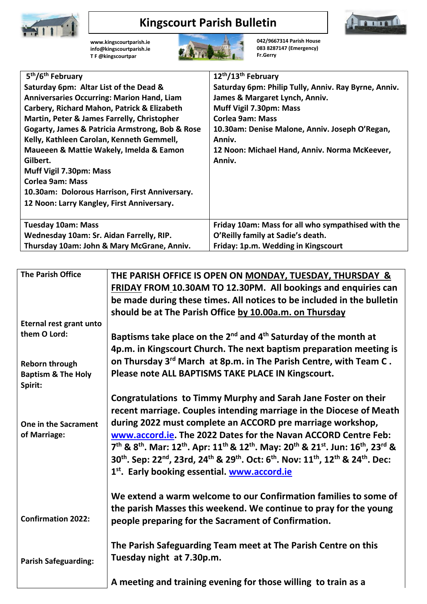

## **Kingscourt Parish Bulletin**



**[www.kingscourtparish.ie](http://www.kingscourtparish.ie/) info@kingscourtparish.ie T F @kingscourtpar** 



**042/9667314 Parish House 083 8287147 (Emergency) Fr.Gerry**

| 5 <sup>th</sup> /6 <sup>th</sup> February         | 12 <sup>th</sup> /13 <sup>th</sup> February          |
|---------------------------------------------------|------------------------------------------------------|
| Saturday 6pm: Altar List of the Dead &            | Saturday 6pm: Philip Tully, Anniv. Ray Byrne, Anniv. |
| <b>Anniversaries Occurring: Marion Hand, Liam</b> | James & Margaret Lynch, Anniv.                       |
| Carbery, Richard Mahon, Patrick & Elizabeth       | Muff Vigil 7.30pm: Mass                              |
| Martin, Peter & James Farrelly, Christopher       | <b>Corlea 9am: Mass</b>                              |
| Gogarty, James & Patricia Armstrong, Bob & Rose   | 10.30am: Denise Malone, Anniv. Joseph O'Regan,       |
| Kelly, Kathleen Carolan, Kenneth Gemmell,         | Anniv.                                               |
| Maueeen & Mattie Wakely, Imelda & Eamon           | 12 Noon: Michael Hand, Anniv. Norma McKeever,        |
| Gilbert.                                          | Anniv.                                               |
| Muff Vigil 7.30pm: Mass                           |                                                      |
| <b>Corlea 9am: Mass</b>                           |                                                      |
| 10.30am: Dolorous Harrison, First Anniversary.    |                                                      |
| 12 Noon: Larry Kangley, First Anniversary.        |                                                      |
|                                                   |                                                      |
| <b>Tuesday 10am: Mass</b>                         | Friday 10am: Mass for all who sympathised with the   |
| Wednesday 10am: Sr. Aidan Farrelly, RIP.          | O'Reilly family at Sadie's death.                    |
| Thursday 10am: John & Mary McGrane, Anniv.        | Friday: 1p.m. Wedding in Kingscourt                  |

| <b>The Parish Office</b>      | THE PARISH OFFICE IS OPEN ON MONDAY, TUESDAY, THURSDAY &                                                                                                                                     |
|-------------------------------|----------------------------------------------------------------------------------------------------------------------------------------------------------------------------------------------|
|                               | FRIDAY FROM 10.30AM TO 12.30PM. All bookings and enquiries can                                                                                                                               |
|                               | be made during these times. All notices to be included in the bulletin                                                                                                                       |
|                               | should be at The Parish Office by 10.00a.m. on Thursday                                                                                                                                      |
| Eternal rest grant unto       |                                                                                                                                                                                              |
| them O Lord:                  | Baptisms take place on the $2^{nd}$ and $4^{th}$ Saturday of the month at                                                                                                                    |
|                               | 4p.m. in Kingscourt Church. The next baptism preparation meeting is                                                                                                                          |
| <b>Reborn through</b>         | on Thursday 3 <sup>rd</sup> March at 8p.m. in The Parish Centre, with Team C.                                                                                                                |
| <b>Baptism &amp; The Holy</b> | Please note ALL BAPTISMS TAKE PLACE IN Kingscourt.                                                                                                                                           |
| Spirit:                       |                                                                                                                                                                                              |
|                               | Congratulations to Timmy Murphy and Sarah Jane Foster on their                                                                                                                               |
|                               | recent marriage. Couples intending marriage in the Diocese of Meath                                                                                                                          |
| One in the Sacrament          | during 2022 must complete an ACCORD pre marriage workshop,                                                                                                                                   |
| of Marriage:                  | www.accord.ie. The 2022 Dates for the Navan ACCORD Centre Feb:                                                                                                                               |
|                               | 7 <sup>th</sup> & 8 <sup>th</sup> . Mar: 12 <sup>th</sup> . Apr: 11 <sup>th</sup> & 12 <sup>th</sup> . May: 20 <sup>th</sup> & 21 <sup>st</sup> . Jun: 16 <sup>th</sup> , 23 <sup>rd</sup> & |
|                               | 30 <sup>th</sup> . Sep: 22 <sup>nd</sup> , 23rd, 24 <sup>th</sup> & 29 <sup>th</sup> . Oct: 6 <sup>th</sup> . Nov: 11 <sup>th</sup> , 12 <sup>th</sup> & 24 <sup>th</sup> . Dec:             |
|                               | 1 <sup>st</sup> . Early booking essential. www.accord.ie                                                                                                                                     |
|                               |                                                                                                                                                                                              |
|                               | We extend a warm welcome to our Confirmation families to some of                                                                                                                             |
|                               |                                                                                                                                                                                              |
| <b>Confirmation 2022:</b>     | the parish Masses this weekend. We continue to pray for the young                                                                                                                            |
|                               | people preparing for the Sacrament of Confirmation.                                                                                                                                          |
|                               |                                                                                                                                                                                              |
|                               | The Parish Safeguarding Team meet at The Parish Centre on this                                                                                                                               |
| <b>Parish Safeguarding:</b>   | Tuesday night at 7.30p.m.                                                                                                                                                                    |
|                               |                                                                                                                                                                                              |
|                               | A meeting and training evening for those willing to train as a                                                                                                                               |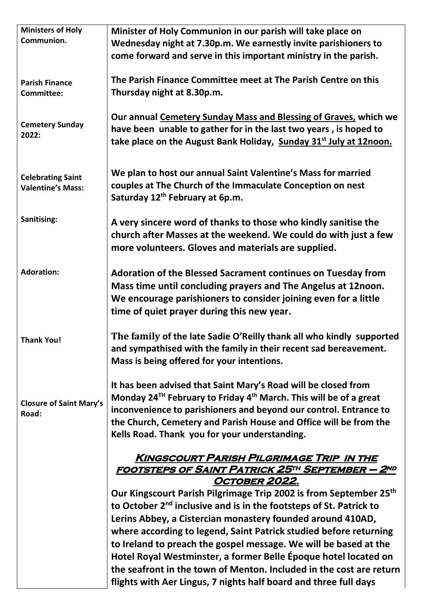| <b>Ministers of Holy</b>       | Minister of Holy Communion in our parish will take place on                               |
|--------------------------------|-------------------------------------------------------------------------------------------|
| Communion.                     | Wednesday night at 7.30p.m. We earnestly invite parishioners to                           |
|                                | come forward and serve in this important ministry in the parish.                          |
|                                |                                                                                           |
|                                |                                                                                           |
| <b>Parish Finance</b>          | The Parish Finance Committee meet at The Parish Centre on this                            |
| <b>Committee:</b>              | Thursday night at 8.30p.m.                                                                |
|                                |                                                                                           |
|                                | Our annual Cemetery Sunday Mass and Blessing of Graves, which we                          |
| <b>Cemetery Sunday</b>         | have been unable to gather for in the last two years, is hoped to                         |
| 2022:                          | take place on the August Bank Holiday, Sunday 31 <sup>st</sup> July at 12noon.            |
|                                |                                                                                           |
|                                |                                                                                           |
| <b>Celebrating Saint</b>       | We plan to host our annual Saint Valentine's Mass for married                             |
| <b>Valentine's Mass:</b>       | couples at The Church of the Immaculate Conception on nest                                |
|                                | Saturday 12 <sup>th</sup> February at 6p.m.                                               |
|                                |                                                                                           |
| Sanitising:                    |                                                                                           |
|                                | A very sincere word of thanks to those who kindly sanitise the                            |
|                                | church after Masses at the weekend. We could do with just a few                           |
|                                | more volunteers. Gloves and materials are supplied.                                       |
|                                |                                                                                           |
| <b>Adoration:</b>              | Adoration of the Blessed Sacrament continues on Tuesday from                              |
|                                | Mass time until concluding prayers and The Angelus at 12noon.                             |
|                                | We encourage parishioners to consider joining even for a little                           |
|                                |                                                                                           |
|                                | time of quiet prayer during this new year.                                                |
|                                |                                                                                           |
| <b>Thank You!</b>              | The family of the late Sadie O'Reilly thank all who kindly supported                      |
|                                | and sympathised with the family in their recent sad bereavement.                          |
|                                | Mass is being offered for your intentions.                                                |
|                                |                                                                                           |
|                                | It has been advised that Saint Mary's Road will be closed from                            |
|                                | Monday 24 <sup>TH</sup> February to Friday 4 <sup>th</sup> March. This will be of a great |
| <b>Closure of Saint Mary's</b> | inconvenience to parishioners and beyond our control. Entrance to                         |
| Road:                          | the Church, Cemetery and Parish House and Office will be from the                         |
|                                | Kells Road. Thank you for your understanding.                                             |
|                                |                                                                                           |
|                                | <b>KINGSCOURT PARISH PILGRIMAGE TRIP IN THE</b>                                           |
|                                | <u> FOOTSTEPS OF SAINT PATRICK 25TH SEPTEMBER — 2ND</u>                                   |
|                                | OCTOBER 2022.                                                                             |
|                                | Our Kingscourt Parish Pilgrimage Trip 2002 is from September 25th                         |
|                                |                                                                                           |
|                                | to October 2 <sup>nd</sup> inclusive and is in the footsteps of St. Patrick to            |
|                                | Lerins Abbey, a Cistercian monastery founded around 410AD,                                |
|                                | where according to legend, Saint Patrick studied before returning                         |
|                                | to Ireland to preach the gospel message. We will be based at the                          |
|                                | Hotel Royal Westminster, a former Belle Époque hotel located on                           |
|                                | the seafront in the town of Menton. Included in the cost are return                       |
|                                | flights with Aer Lingus, 7 nights half board and three full days                          |
|                                |                                                                                           |